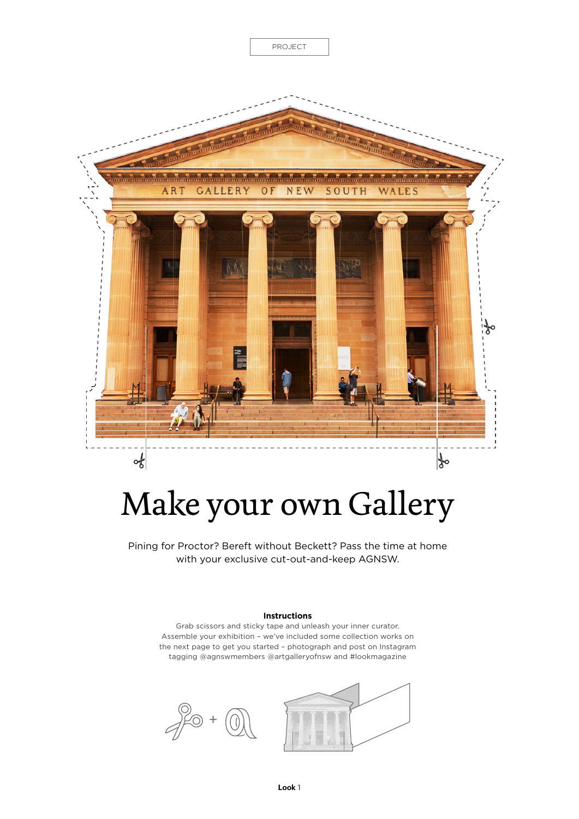

## Make your own Gallery

Pining for Proctor? Bereft without Beckett? Pass the time at home with your exclusive cut-out-and-keep AGNSW.

## **Instructions**

Grab scissors and sticky tape and unleash your inner curator. Assemble your exhibition – we've included some collection works on the next page to get you started – photograph and post on Instagram tagging @agnswmembers @artgalleryofnsw and #lookmagazine



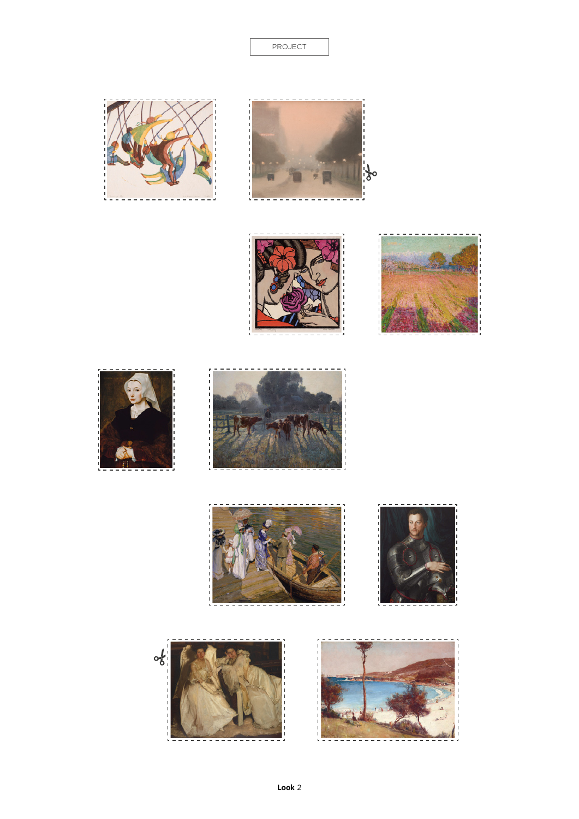